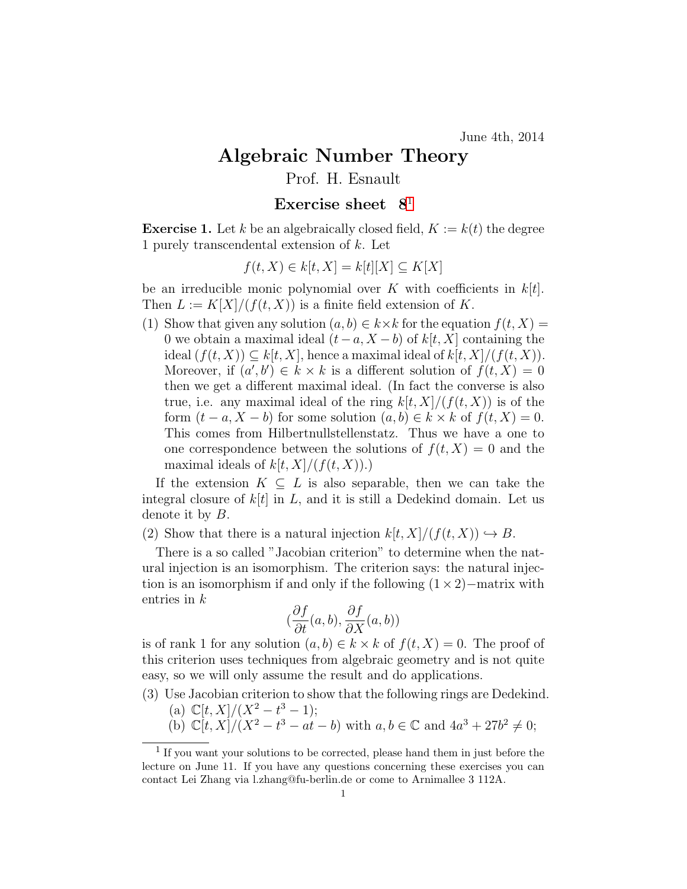## Algebraic Number Theory

## Prof. H. Esnault

## Exercise sheet  $8<sup>1</sup>$  $8<sup>1</sup>$  $8<sup>1</sup>$

**Exercise 1.** Let k be an algebraically closed field,  $K := k(t)$  the degree 1 purely transcendental extension of k. Let

$$
f(t, X) \in k[t, X] = k[t][X] \subseteq K[X]
$$

be an irreducible monic polynomial over K with coefficients in  $k[t]$ . Then  $L := K[X]/(f(t, X))$  is a finite field extension of K.

(1) Show that given any solution  $(a, b) \in k \times k$  for the equation  $f(t, X) =$ 0 we obtain a maximal ideal  $(t-a, X-b)$  of  $k[t, X]$  containing the ideal  $(f(t, X)) \subseteq k[t, X]$ , hence a maximal ideal of  $k[t, X]/(f(t, X))$ . Moreover, if  $(a', b') \in k \times k$  is a different solution of  $f(t, X) = 0$ then we get a different maximal ideal. (In fact the converse is also true, i.e. any maximal ideal of the ring  $k[t, X]/(f(t, X))$  is of the form  $(t - a, X - b)$  for some solution  $(a, b) \in k \times k$  of  $f(t, X) = 0$ . This comes from Hilbertnullstellenstatz. Thus we have a one to one correspondence between the solutions of  $f(t, X) = 0$  and the maximal ideals of  $k[t, X]/(f(t, X))$ .

If the extension  $K \subseteq L$  is also separable, then we can take the integral closure of  $k[t]$  in L, and it is still a Dedekind domain. Let us denote it by B.

(2) Show that there is a natural injection  $k[t, X]/(f(t, X)) \hookrightarrow B$ .

There is a so called "Jacobian criterion" to determine when the natural injection is an isomorphism. The criterion says: the natural injection is an isomorphism if and only if the following  $(1 \times 2)$ −matrix with entries in k

$$
(\frac{\partial f}{\partial t}(a,b), \frac{\partial f}{\partial X}(a,b))
$$

is of rank 1 for any solution  $(a, b) \in k \times k$  of  $f(t, X) = 0$ . The proof of this criterion uses techniques from algebraic geometry and is not quite easy, so we will only assume the result and do applications.

- (3) Use Jacobian criterion to show that the following rings are Dedekind.
	- (a)  $\mathbb{C}[t,X]/(X^2-t^3-1);$
	- (b)  $\mathbb{C}[t, X]/(X^2 t^3 at b)$  with  $a, b \in \mathbb{C}$  and  $4a^3 + 27b^2 \neq 0$ ;

<span id="page-0-0"></span><sup>&</sup>lt;sup>1</sup> If you want your solutions to be corrected, please hand them in just before the lecture on June 11. If you have any questions concerning these exercises you can contact Lei Zhang via l.zhang@fu-berlin.de or come to Arnimallee 3 112A.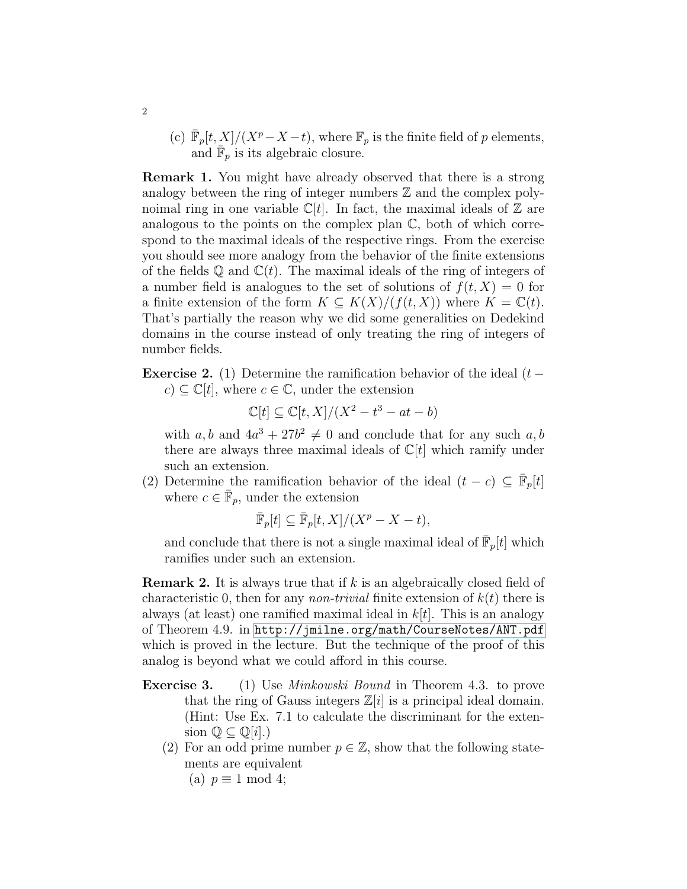(c)  $\bar{\mathbb{F}}_p[t, X]/(X^p - X - t)$ , where  $\mathbb{F}_p$  is the finite field of p elements, and  $\overline{\mathbb{F}}_p$  is its algebraic closure.

Remark 1. You might have already observed that there is a strong analogy between the ring of integer numbers  $\mathbb Z$  and the complex polynoimal ring in one variable  $\mathbb{C}[t]$ . In fact, the maximal ideals of  $\mathbb Z$  are analogous to the points on the complex plan C, both of which correspond to the maximal ideals of the respective rings. From the exercise you should see more analogy from the behavior of the finite extensions of the fields  $\mathbb Q$  and  $\mathbb C(t)$ . The maximal ideals of the ring of integers of a number field is analogues to the set of solutions of  $f(t, X) = 0$  for a finite extension of the form  $K \subseteq K(X)/(f(t, X))$  where  $K = \mathbb{C}(t)$ . That's partially the reason why we did some generalities on Dedekind domains in the course instead of only treating the ring of integers of number fields.

**Exercise 2.** (1) Determine the ramification behavior of the ideal  $(t$  $c \subseteq \mathbb{C}[t]$ , where  $c \in \mathbb{C}$ , under the extension

$$
\mathbb{C}[t] \subseteq \mathbb{C}[t, X]/(X^2 - t^3 - at - b)
$$

with a, b and  $4a^3 + 27b^2 \neq 0$  and conclude that for any such a, b there are always three maximal ideals of  $\mathbb{C}[t]$  which ramify under such an extension.

(2) Determine the ramification behavior of the ideal  $(t - c) \subseteq \overline{\mathbb{F}}_p[t]$ where  $c \in \bar{\mathbb{F}}_p$ , under the extension

$$
\bar{\mathbb{F}}_p[t] \subseteq \bar{\mathbb{F}}_p[t, X]/(X^p - X - t),
$$

and conclude that there is not a single maximal ideal of  $\bar{F}_p[t]$  which ramifies under such an extension.

**Remark 2.** It is always true that if  $k$  is an algebraically closed field of characteristic 0, then for any *non-trivial* finite extension of  $k(t)$  there is always (at least) one ramified maximal ideal in  $k[t]$ . This is an analogy of Theorem 4.9. in <http://jmilne.org/math/CourseNotes/ANT.pdf> which is proved in the lecture. But the technique of the proof of this analog is beyond what we could afford in this course.

- **Exercise 3.** (1) Use *Minkowski Bound* in Theorem 4.3. to prove that the ring of Gauss integers  $\mathbb{Z}[i]$  is a principal ideal domain. (Hint: Use Ex. 7.1 to calculate the discriminant for the extension  $\mathbb{Q} \subseteq \mathbb{Q}[i]$ .)
	- (2) For an odd prime number  $p \in \mathbb{Z}$ , show that the following statements are equivalent

(a)  $p \equiv 1 \mod 4$ ;